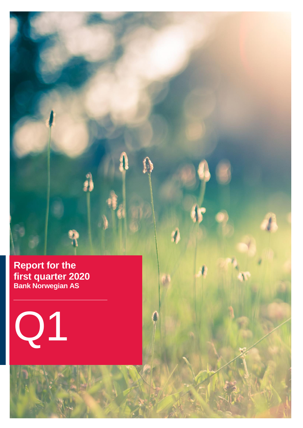**Report for the first quarter 2020 Bank Norwegian AS**

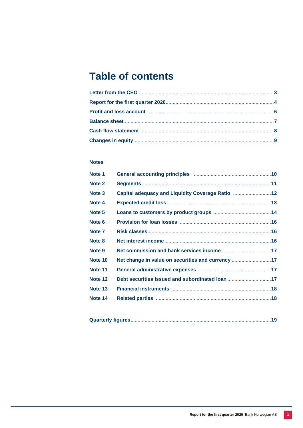# **Table of contents**

## **Notes**

| Note 1  |                                                   |  |
|---------|---------------------------------------------------|--|
| Note 2  |                                                   |  |
| Note 3  | Capital adequacy and Liquidity Coverage Ratio 12  |  |
| Note 4  |                                                   |  |
| Note 5  |                                                   |  |
| Note 6  |                                                   |  |
| Note 7  |                                                   |  |
| Note 8  |                                                   |  |
| Note 9  |                                                   |  |
| Note 10 | Net change in value on securities and currency 17 |  |
| Note 11 |                                                   |  |
| Note 12 | Debt securities issued and subordinated loan 17   |  |
| Note 13 |                                                   |  |
| Note 14 |                                                   |  |

|--|--|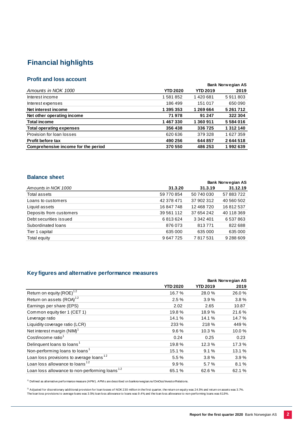## **Financial highlights**

## **Profit and loss account**

**Bank Norwegian AS** *Amounts in NOK 1000* **YTD 2020 YTD 2019 2019** Interest income 1 581 852 1 420 681 5 911 803 Interest expenses 186 499 151 017 650 090 Net interest income 1 395 353 1 269 664 5 261 712 **Net other operating income 71 978 91 247 322 304 Total income 1 467 330 1 360 911 5 584 016 Total operating expenses 356 438 336 725 1 312 140** Provision for loan losses 620 636 379 328 1 627 359 **Profit before tax 490 256 644 857 2 644 518 Comprehensive income for the period 370 550 486 253 1 992 639**

## **Balance sheet**

|                         |            |            | <b>Bank Norwegian AS</b> |
|-------------------------|------------|------------|--------------------------|
| Amounts in NOK 1000     | 31.3.20    | 31.3.19    | 31.12.19                 |
| Total assets            | 59 770 854 | 50 740 030 | 57 883 722               |
| Loans to customers      | 42 378 471 | 37 902 312 | 40 560 502               |
| Liquid assets           | 16 847 748 | 12 468 720 | 16812537                 |
| Deposits from customers | 39 561 112 | 37 654 242 | 40 118 369               |
| Debt securities issued  | 6813624    | 3 342 401  | 6 537 863                |
| Subordinated loans      | 876 073    | 813771     | 822 688                  |
| Tier 1 capital          | 635 000    | 635 000    | 635 000                  |
| Total equity            | 9647725    | 7817531    | 9 288 609                |

## **Key figures and alternative performance measures**

|                                                           |                 |                 | <b>Bank Norwegian AS</b> |  |
|-----------------------------------------------------------|-----------------|-----------------|--------------------------|--|
|                                                           | <b>YTD 2020</b> | <b>YTD 2019</b> | 2019                     |  |
| Return on equity (ROE) <sup>12</sup>                      | 16.7%           | 28.0%           | 26.0%                    |  |
| Return on assets (ROA) <sup>12</sup>                      | 2.5%            | 3.9%            | 3.8%                     |  |
| Earnings per share (EPS)                                  | 2.02            | 2.65            | 10.87                    |  |
| Common equity tier 1 (CET 1)                              | 19.8%           | 18.9%           | 21.6%                    |  |
| Leverage ratio                                            | 14.1 %          | 14.1 %          | 14.7 %                   |  |
| Liquidity coverage ratio (LCR)                            | 233 %           | 218 %           | 449 %                    |  |
| Net interest margin (NIM) <sup>1</sup>                    | 9.6%            | 10.3%           | 10.0%                    |  |
| Cost/income ratio <sup>1</sup>                            | 0.24            | 0.25            | 0.23                     |  |
| Delinquent loans to loans <sup>1</sup>                    | 19.8%           | 12.3 %          | 17.3%                    |  |
| Non-performing loans to loans <sup>1</sup>                | 15.1%           | 9.1%            | 13.1%                    |  |
| Loan loss provisions to average loans <sup>12</sup>       | 5.5%            | 3.8%            | 3.9%                     |  |
| Loan loss allowance to loans <sup>12</sup>                | 9.9%            | 5.7%            | 8.1%                     |  |
| Loan loss allowance to non-performing loans <sup>12</sup> | 65.1%           | 62.6%           | 62.1%                    |  |

<sup>1)</sup> Defined as alternative performance measure (APM). APM s are described on banknorwegian.no/OmOss/InvestorRelations.

 $^{2)}$  Adjusted for discretionary additional provision for loan losses of NOK 230 million in the first quarter, the return on equity was 24.5% and return on assets was 3.7%. The loan loss provisions to average loans was 3.5%, loan loss allowance to loans was 9.4%, and the loan loss allowance to non-performing loans was 61.9% .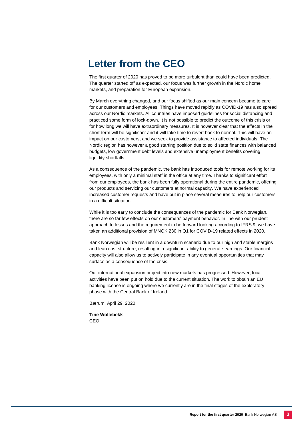# **Letter from the CEO**

The first quarter of 2020 has proved to be more turbulent than could have been predicted. The quarter started off as expected, our focus was further growth in the Nordic home markets, and preparation for European expansion.

By March everything changed, and our focus shifted as our main concern became to care for our customers and employees. Things have moved rapidly as COVID-19 has also spread across our Nordic markets. All countries have imposed guidelines for social distancing and practiced some form of lock-down. It is not possible to predict the outcome of this crisis or for how long we will have extraordinary measures. It is however clear that the effects in the short-term will be significant and it will take time to revert back to normal. This will have an impact on our customers, and we seek to provide assistance to affected individuals. The Nordic region has however a good starting position due to solid state finances with balanced budgets, low government debt levels and extensive unemployment benefits covering liquidity shortfalls.

As a consequence of the pandemic, the bank has introduced tools for remote working for its employees, with only a minimal staff in the office at any time. Thanks to significant effort from our employees, the bank has been fully operational during the entire pandemic, offering our products and servicing our customers at normal capacity. We have experienced increased customer requests and have put in place several measures to help our customers in a difficult situation.

While it is too early to conclude the consequences of the pandemic for Bank Norwegian, there are so far few effects on our customers' payment behavior. In line with our prudent approach to losses and the requirement to be forward looking according to IFRS 9, we have taken an additional provision of MNOK 230 in Q1 for COVID-19 related effects in 2020.

Bank Norwegian will be resilient in a downturn scenario due to our high and stable margins and lean cost structure, resulting in a significant ability to generate earnings. Our financial capacity will also allow us to actively participate in any eventual opportunities that may surface as a consequence of the crisis.

Our international expansion project into new markets has progressed. However, local activities have been put on hold due to the current situation. The work to obtain an EU banking license is ongoing where we currently are in the final stages of the exploratory phase with the Central Bank of Ireland.

Bærum, April 29, 2020

**Tine Wollebekk** CEO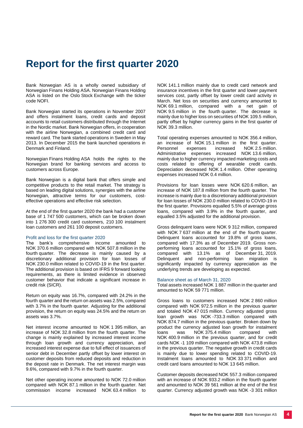# **Report for the first quarter 2020**

Bank Norwegian AS is a wholly owned subsidiary of Norwegian Finans Holding ASA. Norwegian Finans Holding ASA is listed on the Oslo Stock Exchange with the ticker code NOFI.

Bank Norwegian started its operations in November 2007 and offers instalment loans, credit cards and deposit accounts to retail customers distributed through the Internet in the Nordic market. Bank Norwegian offers, in cooperation with the airline Norwegian, a combined credit card and reward card. The bank started operations in Sweden in May 2013. In December 2015 the bank launched operations in Denmark and Finland.

Norwegian Finans Holding ASA holds the rights to the Norwegian brand for banking services and access to customers across Europe.

Bank Norwegian is a digital bank that offers simple and competitive products to the retail market. The strategy is based on leading digital solutions, synergies with the airline Norwegian, attractive terms for our customers, costeffective operations and effective risk selection.

At the end of the first quarter 2020 the bank had a customer base of 1 747 500 customers, which can be broken down into 1 276 300 credit card customers, 210 100 instalment loan customers and 261 100 deposit customers.

#### Profit and loss for the first quarter 2020

The bank's comprehensive income amounted to NOK 370.6 million compared with NOK 507.8 million in the fourth quarter. The decrease is mainly caused by a discretionary additional provision for loan losses of NOK 230.0 million related to COVID-19 in the first quarter. The additional provision is based on IFRS 9 forward looking requirements, as there is limited evidence in observed customer behavior that indicate a significant increase in credit risk (SICR).

Return on equity was 16.7%, compared with 24.2% in the fourth quarter and the return on assets was 2.5%, compared with 3.7% in the fourth quarter. Adjusting for the additional provision, the return on equity was 24.5% and the return on assets was 3.7%.

Net interest income amounted to NOK 1 395 million, an increase of NOK 32.8 million from the fourth quarter. The change is mainly explained by increased interest income through loan growth and currency appreciation, and increased interest expense due to full effect of issuances of senior debt in December partly offset by lower interest on customer deposits from reduced deposits and reduction in the deposit rate in Denmark. The net interest margin was 9.6%, compared with 9.7% in the fourth quarter.

Net other operating income amounted to NOK 72.0 million compared with NOK 87.1 million in the fourth quarter. Net commission income increased NOK 63.4 million to

NOK 141.1 million mainly due to credit card network and insurance incentives in the first quarter and lower payment services cost, partly offset by lower credit card activity in March. Net loss on securities and currency amounted to NOK 69.1 million, compared with a net gain of NOK 9.5 million in the fourth quarter. The decrease is mainly due to higher loss on securities of NOK 109.5 million, partly offset by higher currency gains in the first quarter of NOK 39.3 million.

Total operating expenses amounted to NOK 356.4 million, an increase of NOK 15.1 million in the first quarter.<br>Personnel expenses increased NOK 2.5 million. NOK 2.5 million. Administrative expenses increased NOK 13.6 million, mainly due to higher currency impacted marketing costs and costs related to offering of wearable credit cards. Depreciation decreased NOK 1.4 million. Other operating expenses increased NOK 0.4 million.

Provisions for loan losses were NOK 620.6 million, an increase of NOK 187.8 million from the fourth quarter. The increase is mainly due to a discretionary additional provision for loan losses of NOK 230.0 million related to COVID-19 in the first quarter. Provisions equalled 5.5% of average gross loans, compared with 3.9% in the fourth quarter, and equalled 3.5% adjusted for the additional provision.

Gross delinquent loans were NOK 9 312 million, compared with NOK 7 637 million at the end of the fourth quarter. Delinquent loans accounted for 19.8% of gross loans, compared with 17.3% as of December 2019. Gross nonperforming loans accounted for 15.1% of gross loans, compared with 13.1% as of December 31, 2019. Delinquent and non-performing loan migration is significantly impacted by currency appreciation as the underlying trends are developing as expected.

#### Balance sheet as of March 31, 2020

Total assets increased NOK 1 887 million in the quarter and amounted to NOK 59 771 million.

Gross loans to customers increased NOK 2 860 million compared with NOK 972.5 million in the previous quarter and totaled NOK 47 015 million. Currency adjusted gross loan growth was NOK -733.3 million compared with NOK 874.7 million in the previous quarter. Broken down by product the currency adjusted loan growth for instalment loans was NOK 375.4 million compared with NOK 400.9 million in the previous quarter, and for credit cards NOK -1 109 million compared with NOK 473.8 million in the previous quarter. The negative growth in credit cards is mainly due to lower spending related to COVID-19. Instalment loans amounted to NOK 33 371 million and credit card loans amounted to NOK 13 645 million.

Customer deposits decreased NOK 557.3 million compared with an increase of NOK 933.2 million in the fourth quarter and amounted to NOK 39 561 million at the end of the first quarter. Currency adjusted growth was NOK -3 301 million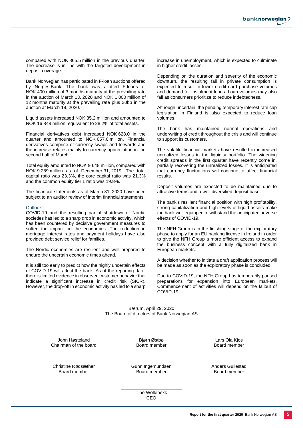compared with NOK 865.5 million in the previous quarter. The decrease is in line with the targeted development in deposit coverage.

Bank Norwegian has participated in F-loan auctions offered by Norges Bank. The bank was allotted F-loans of NOK 400 million of 3 months maturity at the prevailing rate in the auction of March 13, 2020 and NOK 1 000 million of 12 months maturity at the prevailing rate plus 30bp in the auction at March 19, 2020.

Liquid assets increased NOK 35.2 million and amounted to NOK 16 848 million, equivalent to 28.2% of total assets.

Financial derivatives debt increased NOK 628.0 in the quarter and amounted to NOK 657.6 million. Financial derivatives comprise of currency swaps and forwards and the increase relates mainly to currency appreciation in the second half of March.

Total equity amounted to NOK 9 648 million, compared with NOK 9 289 million as of December 31, 2019. The total capital ratio was 23.3%, the core capital ratio was 21.3% and the common equity tier 1 ratio was 19.8%.

The financial statements as of March 31, 2020 have been subject to an auditor review of interim financial statements.

#### **Outlook**

COVID-19 and the resulting partial shutdown of Nordic societies has led to a sharp drop in economic activity, which has been countered by decisive government measures to soften the impact on the economies. The reduction in mortgage interest rates and payment holidays have also provided debt service relief for families.

The Nordic economies are resilient and well prepared to endure the uncertain economic times ahead.

It is still too early to predict how the highly uncertain effects of COVID-19 will affect the bank. As of the reporting date, there is limited evidence in observed customer behavior that indicate a significant increase in credit risk (SICR). However, the drop-off in economic activity has led to a sharp

increase in unemployment, which is expected to culminate in higher credit losses.

Depending on the duration and severity of the economic downturn, the resulting fall in private consumption is expected to result in lower credit card purchase volumes and demand for instalment loans. Loan volumes may also fall as consumers prioritize to reduce indebtedness.

Although uncertain, the pending temporary interest rate cap legislation in Finland is also expected to reduce loan volumes.

The bank has maintained normal operations and underwriting of credit throughout the crisis and will continue to support its customers.

The volatile financial markets have resulted in increased unrealized losses in the liquidity portfolio. The widening credit spreads in the first quarter have recently come in, partially recovering the unrealized losses. It is anticipated that currency fluctuations will continue to affect financial results.

Deposit volumes are expected to be maintained due to attractive terms and a well diversified deposit base.

The bank's resilient financial position with high profitability, strong capitalization and high levels of liquid assets make the bank well equipped to withstand the anticipated adverse effects of COVID-19.

The NFH Group is in the finishing stage of the exploratory phase to apply for an EU banking license in Ireland in order to give the NFH Group a more efficient access to expand the business concept with a fully digitalized bank in European markets.

A decision whether to initiate a draft application process will be made as soon as the exploratory phase is concluded.

Due to COVID-19, the NFH Group has temporarily paused preparations for expansion into European markets. Commencement of activities will depend on the fallout of COVID-19.

Bærum, April 29, 2020 The Board of directors of Bank Norwegian AS

**\_\_\_\_\_\_\_\_\_\_\_\_\_\_\_\_\_\_\_\_\_\_** John Høsteland Chairman of the board

**\_\_\_\_\_\_\_\_\_\_\_\_\_\_\_\_\_\_\_\_\_\_** Bjørn Østbø Board member

**\_\_\_\_\_\_\_\_\_\_\_\_\_\_\_\_\_\_\_\_\_\_\_\_** Lars Ola Kjos Board member

**\_\_\_\_\_\_\_\_\_\_\_\_\_\_\_\_\_\_\_\_\_\_** Christine Rødsæther Board member

**\_\_\_\_\_\_\_\_\_\_\_\_\_\_\_\_\_\_\_\_\_\_\_\_** Gunn Ingemundsen Board member

**\_\_\_\_\_\_\_\_\_\_\_\_\_\_\_\_\_\_\_\_\_\_\_\_** Anders Gullestad Board member

**\_\_\_\_\_\_\_\_\_\_\_\_\_\_\_\_\_\_\_\_\_\_\_\_** Tine Wollebekk CEO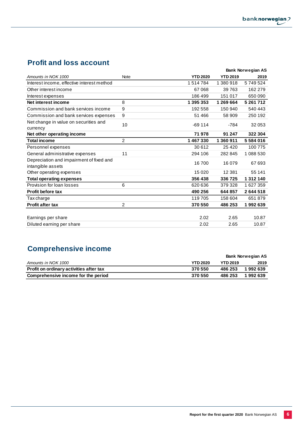# **Profit and loss account**

|                                                               |                |                 |                 | <b>Bank Norwegian AS</b> |
|---------------------------------------------------------------|----------------|-----------------|-----------------|--------------------------|
| Amounts in NOK 1000                                           | <b>Note</b>    | <b>YTD 2020</b> | <b>YTD 2019</b> | 2019                     |
| Interest income, effective interest method                    |                | 1514784         | 1380918         | 5749524                  |
| Other interest income                                         |                | 67068           | 39763           | 162 279                  |
| Interest expenses                                             |                | 186499          | 151 017         | 650 090                  |
| Net interest income                                           | 8              | 1 395 353       | 1 269 664       | 5 261 712                |
| Commission and bank services income                           | 9              | 192 558         | 150 940         | 540 443                  |
| Commission and bank services expenses                         | 9              | 51 466          | 58 909          | 250 192                  |
| Net change in value on securities and<br>currency             | 10             | $-69114$        | $-784$          | 32 053                   |
| Net other operating income                                    |                | 71978           | 91 247          | 322 304                  |
| <b>Total income</b>                                           | $\overline{2}$ | 1467330         | 1 360 911       | 5584016                  |
| Personnel expenses                                            |                | 30 612          | 25 4 20         | 100775                   |
| General administrative expenses                               | 11             | 294 106         | 282 845         | 1 088 530                |
| Depreciation and impairment of fixed and<br>intangible assets |                | 16700           | 16 079          | 67 693                   |
| Other operating expenses                                      |                | 15 0 20         | 12 3 8 1        | 55 141                   |
| <b>Total operating expenses</b>                               |                | 356 438         | 336725          | 1 312 140                |
| Provision for loan losses                                     | 6              | 620 636         | 379 328         | 1627359                  |
| <b>Profit before tax</b>                                      |                | 490 256         | 644 857         | 2644518                  |
| Tax charge                                                    |                | 119 705         | 158 604         | 651879                   |
| <b>Profit after tax</b>                                       | $\overline{2}$ | 370 550         | 486 253         | 1992639                  |
|                                                               |                |                 |                 |                          |
| Earnings per share                                            |                | 2.02            | 2.65            | 10.87                    |
| Diluted earning per share                                     |                | 2.02            | 2.65            | 10.87                    |

# **Comprehensive income**

|                                         |                 |                 | <b>Bank Norwegian AS</b> |
|-----------------------------------------|-----------------|-----------------|--------------------------|
| Amounts in NOK 1000                     | <b>YTD 2020</b> | <b>YTD 2019</b> | 2019                     |
| Profit on ordinary activities after tax | 370 550         | 486 253         | 1992639                  |
| Comprehensive income for the period     | 370 550         | 486 253         | 1992639                  |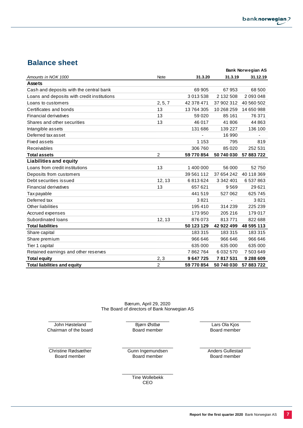## **Balance sheet**

|                                             |                |            |            | <b>Bank Norwegian AS</b> |
|---------------------------------------------|----------------|------------|------------|--------------------------|
| Amounts in NOK 1000                         | <b>Note</b>    | 31.3.20    | 31.3.19    | 31.12.19                 |
| <b>Assets</b>                               |                |            |            |                          |
| Cash and deposits with the central bank     |                | 69 905     | 67953      | 68 500                   |
| Loans and deposits with credit institutions |                | 3 013 538  | 2 132 508  | 2 093 048                |
| Loans to customers                          | 2, 5, 7        | 42 378 471 | 37 902 312 | 40 560 502               |
| Certificates and bonds                      | 13             | 13 764 305 | 10 268 259 | 14 650 988               |
| <b>Financial derivatives</b>                | 13             | 59 0 20    | 85 161     | 76 371                   |
| Shares and other securities                 | 13             | 46 017     | 41806      | 44 863                   |
| Intangible assets                           |                | 131 686    | 139 227    | 136 100                  |
| Deferred tax asset                          |                |            | 16 990     |                          |
| <b>Fixed assets</b>                         |                | 1 1 5 3    | 795        | 819                      |
| Receivables                                 |                | 306 760    | 85 0 20    | 252 531                  |
| <b>Total assets</b>                         | $\overline{2}$ | 59 770 854 | 50 740 030 | 57 883 722               |
| <b>Liabilities and equity</b>               |                |            |            |                          |
| Loans from credit institutions              | 13             | 1 400 000  | 56 000     | 52750                    |
| Deposits from customers                     |                | 39 561 112 | 37 654 242 | 40 118 369               |
| Debt securities issued                      | 12, 13         | 6813624    | 3 342 401  | 6 537 863                |
| <b>Financial derivatives</b>                | 13             | 657 621    | 9569       | 29621                    |
| Tax payable                                 |                | 441 519    | 527 062    | 625 745                  |
| Deferred tax                                |                | 3821       |            | 3821                     |
| Other liabilities                           |                | 195410     | 314 239    | 225 239                  |
| Accrued expenses                            |                | 173 950    | 205 216    | 179 017                  |
| Subordinated loans                          | 12, 13         | 876073     | 813771     | 822 688                  |
| <b>Total liabilities</b>                    |                | 50 123 129 | 42 922 499 | 48 595 113               |
| Share capital                               |                | 183 315    | 183315     | 183315                   |
| Share premium                               |                | 966 646    | 966 646    | 966 646                  |
| Tier 1 capital                              |                | 635 000    | 635 000    | 635 000                  |
| Retained earnings and other reserves        |                | 7862764    | 6 032 570  | 7 503 649                |
| <b>Total equity</b>                         | 2, 3           | 9647725    | 7817531    | 9 288 609                |
| <b>Total liabilities and equity</b>         | $\overline{2}$ | 59 770 854 | 50 740 030 | 57 883 722               |

Bærum, April 29, 2020 The Board of directors of Bank Norwegian AS

\_\_\_\_\_\_\_\_\_\_\_\_\_\_\_\_\_ John Høsteland Chairman of the board \_\_\_\_\_\_\_\_\_\_\_\_\_\_\_\_\_ Bjørn Østbø Board member

\_\_\_\_\_\_\_\_\_\_\_\_\_\_\_\_\_ Christine Rødsæther Board member

\_\_\_\_\_\_\_\_\_\_\_\_\_\_\_\_\_\_\_\_ Gunn Ingemundsen Board member

\_\_\_\_\_\_\_\_\_\_\_\_\_\_\_\_\_\_\_\_ Anders Gullestad Board member

\_\_\_\_\_\_\_\_\_\_\_\_\_\_\_\_\_\_\_\_ Lars Ola Kjos Board member

\_\_\_\_\_\_\_\_\_\_\_\_\_\_\_\_\_\_\_\_ Tine Wollebekk CEO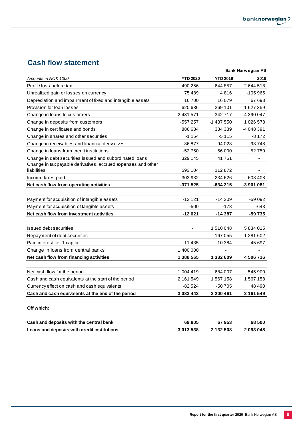# **Cash flow statement**

|                                                               |                          |                 | <b>Bank Norwegian AS</b> |
|---------------------------------------------------------------|--------------------------|-----------------|--------------------------|
| Amounts in NOK 1000                                           | <b>YTD 2020</b>          | <b>YTD 2019</b> | 2019                     |
| Profit / loss before tax                                      | 490 256                  | 644 857         | 2644518                  |
| Unrealized gain or losses on currency                         | 75 489                   | 4816            | $-105965$                |
| Depreciation and impairment of fixed and intangible assets    | 16700                    | 16 079          | 67 693                   |
| Provision for loan losses                                     | 620 636                  | 269 101         | 1627359                  |
| Change in loans to customers                                  | $-2431571$               | -342 717        | -4 390 047               |
| Change in deposits from customers                             | -557 257                 | -1 437 550      | 1026578                  |
| Change in certificates and bonds                              | 886 684                  | 334 339         | -4 048 391               |
| Change in shares and other securities                         | $-1154$                  | $-5115$         | $-8172$                  |
| Change in receivables and financial derivatives               | $-36877$                 | $-94023$        | 93748                    |
| Change in loans from credit institutions                      | $-52750$                 | 56 000          | 52750                    |
| Change in debt securities issued and subordinated loans       | 329 145                  | 41751           |                          |
| Change in tax payable derivatives, accrued expenses and other |                          |                 |                          |
| liabilities                                                   | 593 104                  | 112872          |                          |
| Income taxes paid                                             | -303 932                 | -234 626        | $-608408$                |
| Net cash flow from operating activities                       | -371 525                 | -634 215        | -3 901 081               |
|                                                               |                          |                 |                          |
| Payment for acquisition of intangible assets                  | $-12121$                 | $-14209$        | -59 092                  |
| Payment for acquisition of tangible assets                    | $-500$                   | $-178$          | $-643$                   |
| Net cash flow from investment activities                      | $-12621$                 | $-14387$        | -59 735                  |
|                                                               |                          |                 |                          |
| <b>Issued debt securities</b>                                 | $\overline{\phantom{a}}$ | 1510048         | 5834015                  |
| Repayment of debt securities                                  |                          | -167 055        | -1 281 602               |
| Paid interest tier 1 capital                                  | $-11435$                 | $-10.384$       | -45 697                  |
| Change in loans from central banks                            | 1 400 000                |                 |                          |
| Net cash flow from financing activities                       | 1 388 565                | 1 332 609       | 4506716                  |
|                                                               |                          |                 |                          |
| Net cash flow for the period                                  | 1 004 419                | 684 007         | 545 900                  |
| Cash and cash equivalents at the start of the period          | 2 161 549                | 1 567 158       | 1 567 158                |
| Currency effect on cash and cash equivalents                  | $-82524$                 | -50 705         | 48 490                   |
| Cash and cash equivalents at the end of the period            | 3 083 443                | 2 200 461       | 2 161 549                |
| Off which:                                                    |                          |                 |                          |
|                                                               |                          |                 |                          |
| Cash and deposits with the central bank                       | 69 905                   | 67953           | 68 500                   |
| Loans and deposits with credit institutions                   | 3013538                  | 2 132 508       | 2093048                  |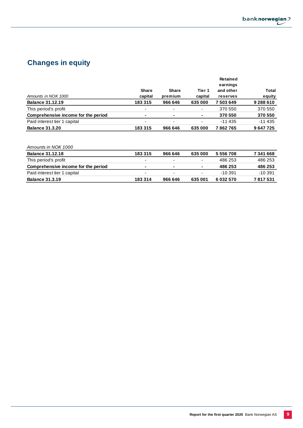

# **Changes in equity**

|                                     |                          |              |                          | Retained  |           |
|-------------------------------------|--------------------------|--------------|--------------------------|-----------|-----------|
|                                     |                          |              |                          | earnings  |           |
|                                     | <b>Share</b>             | <b>Share</b> | Tier 1                   | and other | Total     |
| Amounts in NOK 1000                 | capital                  | premium      | capital                  | reserves  | equity    |
| <b>Balance 31.12.19</b>             | 183 315                  | 966 646      | 635 000                  | 7503649   | 9 288 610 |
| This period's profit                | $\blacksquare$           |              | $\overline{\phantom{a}}$ | 370 550   | 370 550   |
| Comprehensive income for the period | $\blacksquare$           | ۰            | $\blacksquare$           | 370 550   | 370 550   |
| Paid interest tier 1 capital        | $\overline{\phantom{0}}$ |              | ٠                        | $-11435$  | $-11435$  |
| <b>Balance 31.3.20</b>              | 183 315                  | 966 646      | 635 000                  | 7862765   | 9647725   |

| Amounts in NOK 1000                 |         |         |                |           |           |
|-------------------------------------|---------|---------|----------------|-----------|-----------|
| <b>Balance 31.12.18</b>             | 183 315 | 966 646 | 635 000        | 5 556 708 | 7341668   |
| This period's profit                | -       | -       | $\blacksquare$ | 486 253   | 486 253   |
| Comprehensive income for the period |         | ٠       | $\blacksquare$ | 486 253   | 486 253   |
| Paid interest tier 1 capital        | -       | ۰       | ۰              | $-10.391$ | $-10.391$ |
| <b>Balance 31,3,19</b>              | 183 314 | 966 646 | 635 001        | 6 032 570 | 7817531   |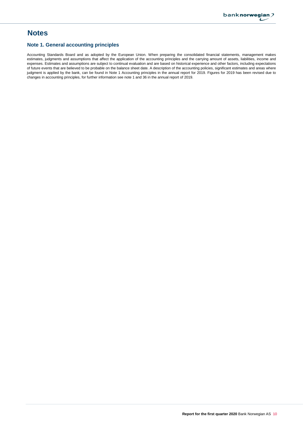## **Notes**

### **Note 1. General accounting principles**

Accounting Standards Board and as adopted by the European Union. When preparing the consolidated financial statements, management makes estimates, judgments and assumptions that affect the application of the accounting principles and the carrying amount of assets, liabilities, income and expenses. Estimates and assumptions are subject to continual evaluation and are based on historical experience and other factors, including expectations of future events that are believed to be probable on the balance sheet date. A description of the accounting policies, significant estimates and areas where judgment is applied by the bank, can be found in Note 1 Accounting principles in the annual report for 2019. Figures for 2019 has been revised due to changes in accounting principles, for further information see note 1 and 36 in the annual report of 2019.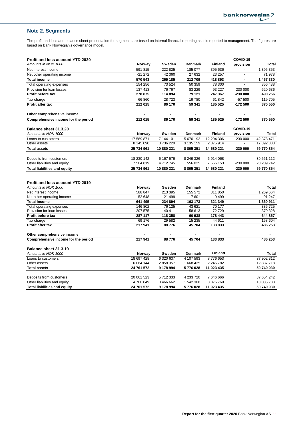## **Note 2. Segments**

The profit and loss and balance sheet presentation for segments are based on internal financial reporting as it is reported to management. The figures are based on Bank Norwegian's governance model.

| <b>Profit and loss account YTD 2020</b>           |                   |                   |                           |                           | COVID-19                 |                           |
|---------------------------------------------------|-------------------|-------------------|---------------------------|---------------------------|--------------------------|---------------------------|
| Amounts in NOK 1000                               | Norway            | Sweden            | <b>Denmark</b>            | <b>Finland</b>            | provision                | Total                     |
| Net interest income                               | 591 815           | 222 825           | 185 077                   | 395 636                   | $\overline{a}$           | 1 395 353                 |
| Net other operating income                        | $-21272$          | 42 360            | 27 632                    | 23 257                    | $\overline{\phantom{a}}$ | 71 978                    |
| <b>Total income</b>                               | 570 543           | 265 185           | 212709                    | 418 893                   | $\blacksquare$           | 1467330                   |
| Total operating expenses                          | 154 256           | 73 524            | 50 359                    | 78 300                    |                          | 356 438                   |
| Provision for loan losses                         | 137 413           | 76 767            | 83 2 29                   | 93 227                    | 230 000                  | 620 636                   |
| <b>Profit before tax</b>                          | 278 875           | 114 894           | 79 121                    | 247 367                   | -230 000                 | 490 256                   |
| Tax charge                                        | 66 860            | 28723             | 19780                     | 61 842                    | $-57500$                 | 119 705                   |
| Profit after tax                                  | 212 015           | 86 170            | 59 341                    | 185 525                   | -172 500                 | 370 550                   |
| Other comprehensive income                        |                   |                   |                           |                           |                          |                           |
| Comprehensive income for the period               | 212 015           | 86 170            | 59 341                    | 185 525                   | $-172500$                | 370 550                   |
| Balance sheet 31.3.20                             |                   |                   |                           |                           | COVID-19                 |                           |
| Amounts in NOK 1000                               | Norway            | Sweden            | <b>Denmark</b>            | Finland                   | provision                | Total                     |
| Loans to customers                                | 17 589 871        | 7 144 101         | 5 670 192                 | 12 204 306                | $-230000$                | 42 378 471                |
| Other assets                                      | 8 145 090         | 3736220           | 3 135 159                 | 2 375 914                 | ÷.                       | 17 392 383                |
| <b>Total assets</b>                               | 25 734 961        | 10 880 321        | 8 805 351                 | 14 580 221                | $-23000$                 | 59 770 854                |
|                                                   |                   |                   |                           |                           |                          |                           |
| Deposits from customers                           | 18 230 142        | 6 167 576         | 8 249 326                 | 6914068                   |                          | 39 561 112                |
| Other liabilities and equity                      | 7 504 819         | 4712745           | 556 025                   | 7 666 153                 | $-230000$                | 20 209 742                |
| <b>Total liabilities and equity</b>               | 25 734 961        | 10 880 321        | 8 805 351                 | 14 580 221                | $-230000$                | 59 770 854                |
| <b>Profit and loss account YTD 2019</b>           |                   |                   |                           |                           |                          |                           |
| Amounts in NOK 1000                               | Norway<br>588 847 | Sweden<br>213 395 | <b>Denmark</b><br>155 572 | <b>Finland</b><br>311 850 |                          | <b>Total</b><br>1 269 664 |
| Net interest income                               | 52 648            | 21 499            | 7601                      | 9499                      |                          | 91 247                    |
| Net other operating income<br><b>Total income</b> | 641 495           | 234 894           | 163 173                   | 321 349                   |                          | 1 360 911                 |
| Total operating expenses                          | 146 802           | 76 125            | 43 621                    | 70 177                    |                          | 336 725                   |
| Provision for loan losses                         | 207 575           | 40 411            | 58 613                    | 72729                     |                          | 379 328                   |
| Profit before tax                                 | 287 117           | 118 358           | 60 938                    | 178 443                   |                          | 644 857                   |
| Tax charge                                        | 69 176            | 29 5 82           | 15 2 35                   | 44 611                    |                          | 158 604                   |
| Profit after tax                                  | 217941            | 88776             | 45 704                    | 133833                    |                          | 486 253                   |
|                                                   |                   |                   |                           |                           |                          |                           |
| Other comprehensive income                        | 217941            | 88776             | 45 704                    | 133 833                   |                          | 486 253                   |
| Comprehensive income for the period               |                   |                   |                           |                           |                          |                           |
| Balance sheet 31.3.19                             |                   |                   |                           |                           |                          |                           |
| Amounts in NOK 1000                               | Norway            | Sweden            | <b>Denmark</b>            | <b>Finland</b>            |                          | Total                     |
| Loans to customers                                | 18 697 428        | 6 320 637         | 4 107 593                 | 8776653                   |                          | 37 902 312                |
| Other assets                                      | 6 0 64 144        | 2 858 357         | 1 668 435                 | 2 246 782                 |                          | 12 837 718                |
| <b>Total assets</b>                               | 24 761 572        | 9 178 994         | 5776028                   | 11 023 435                |                          | 50 740 030                |
| Deposits from customers                           | 20 061 523        | 5712333           | 4 233 720                 | 7 646 666                 |                          | 37 654 242                |
| Other liabilities and equity                      |                   |                   |                           |                           |                          |                           |
|                                                   | 4700049           | 3 466 662         | 1 542 308                 | 3 376 769                 |                          | 13 085 788                |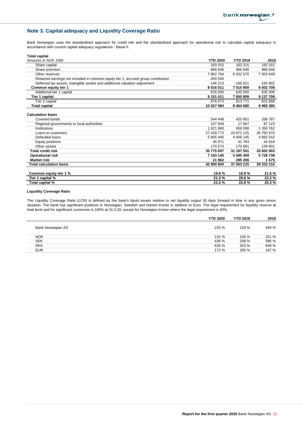## **Note 3. Capital adequacy and Liquidity Coverage Ratio**

Bank Norwegian uses the standardized approach for credit risk and the standardized approach for operational risk to calculate capital adequacy in accordance with current capital adequacy regulations - Basel II.

| Total capital                                                                      |                 |                 |            |
|------------------------------------------------------------------------------------|-----------------|-----------------|------------|
| Amounts in NOK 1000                                                                | <b>YTD 2020</b> | <b>YTD 2019</b> | 2019       |
| Share capital                                                                      | 183 315         | 183 315         | 183 315    |
| Share premium                                                                      | 966 646         | 966 646         | 966 646    |
| Other reserves                                                                     | 7862764         | 6 032 570       | 7 503 649  |
| Retained earnings not included in common equity tier 1, accrued group contribution | $-350500$       |                 |            |
| Deferred tax assets, intangible assets and additional valuation adjustment         | $-146213$       | $-166621$       | $-150902$  |
| Common equity tier 1                                                               | 8516011         | 7 015 909       | 8 502 708  |
| Additional tier 1 capital                                                          | 635 000         | 635 000         | 635 000    |
| Tier 1 capital                                                                     | 9 151 011       | 7 650 909       | 9 137 708  |
| Tier 2 capital                                                                     | 876 073         | 813771          | 822 688    |
| Total capital                                                                      | 10 027 084      | 8 4 6 4 6 8 0   | 9960395    |
| <b>Calculation basis</b>                                                           |                 |                 |            |
| Covered bonds                                                                      | 544 448         | 420 951         | 336 787    |
| Regional governments or local authorities                                          | 157 609         | 17667           | 87 123     |
| Institutions                                                                       | 1621883         | 958 008         | 1 350 762  |
| Loans to customers                                                                 | 27 429 773      | 24 972 125      | 26 750 970 |
| Defaulted loans                                                                    | 5 805 440       | 4 606 145       | 4 892 542  |
| Equity positions                                                                   | 45 971          | 41 764          | 44 818     |
| Other assets                                                                       | 170 573         | 170891          | 139 901    |
| <b>Total credit risk</b>                                                           | 35 775 697      | 31 187 551      | 33 602 903 |
| <b>Operational risk</b>                                                            | 7 193 145       | 5 580 459       | 5728738    |
| <b>Market risk</b>                                                                 | 21 962          | 295 206         | 1575       |
| <b>Total calculation basis</b>                                                     | 42 990 804      | 37 063 215      | 39 333 216 |
| Common equity tier 1 %                                                             | 19.8%           | 18.9%           | 21.6%      |
| Tier 1 capital %                                                                   | 21.3%           | 20.6%           | 23.2%      |
| Total capital %                                                                    | 23.3%           | 22.8%           | 25.3%      |

#### **Liquidity Coverage Ratio**

The Liquidity Coverage Ratio (LCR) is defined as the bank's liquid assets relative to net liquidity output 30 days forward in time in any given stress situation. The bank has significant positions in Norwegian, Swedish and Danish kroner in addition to Euro. The legal requirement for liquidity reserve at total level and for significant currencies is 100% at 31.3.20, except for Norwegian kroner where the legal requirement is 50%.

|                   | <b>YTD 2020</b> | <b>YTD 2019</b> | 2019  |
|-------------------|-----------------|-----------------|-------|
| Bank Norwegian AS | 233 %           | 218 %           | 449 % |
| <b>NOK</b>        | 131 %           | 226 %           | 321 % |
| <b>SEK</b>        | 436 %           | 208 %           | 396 % |
| <b>DKK</b>        | 635 %           | 203 %           | 649 % |
| <b>EUR</b>        | 172 %           | 200 %           | 167 % |
|                   |                 |                 |       |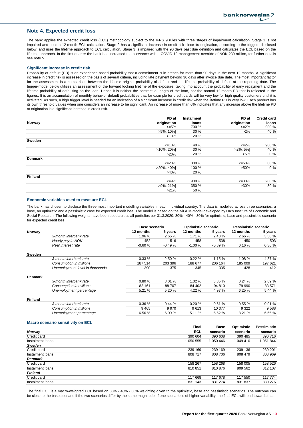### **Note 4. Expected credit loss**

The bank applies the expected credit loss (ECL) methodology subject to the IFRS 9 rules with three stages of impairment calculation. Stage 1 is not impaired and uses a 12-month ECL calculation. Stage 2 has a significant increase in credit risk since its origination, according to the triggers disclosed below, and uses the lifetime approach to ECL calculation. Stage 3 is impaired with the 90 days past due definition and calculates the ECL based on the lifetime approach. In the first quarter the bank has increased the allowance with a COVID-19 management override of NOK 230 million, for further details see note 5.

#### **Significant increase in credit risk**

Probability of default (PD) is an experience-based probability that a commitment is in breach for more than 90 days in the next 12 months. A significant increase in credit risk is assessed on the basis of several criteria, including late payment beyond 30 days after invoice due date. The most important factor for the assessment is a comparison between the lifetime original probability of default and the lifetime probability of default at the reporting date. The trigger-model below utilizes an assessment of the forward looking lifetime of the exposure, taking into account the probability of early repayment and the lifetime probability of defaulting on the loan. Hence it is neither the contractual length of the loan, nor the normal 12-month PD that is reflected in the figures. It is an accumulation of monthly behavior default probabilities that for example for credit cards will be very low for high quality customers until it is activated. As such, a high trigger level is needed for an indication of a significant increase in credit risk when the lifetime PD is very low. Each product has its own threshold values when one considers an increase to be significant. An increase of more than 0% indicates that any increase above the lifetime PD at origination is a significant increase in credit risk.

| loans                                                                                                                                     |
|-------------------------------------------------------------------------------------------------------------------------------------------|
|                                                                                                                                           |
| 900 %                                                                                                                                     |
| 40 %                                                                                                                                      |
|                                                                                                                                           |
|                                                                                                                                           |
| 900 %                                                                                                                                     |
| 40 %                                                                                                                                      |
| $0\%$                                                                                                                                     |
|                                                                                                                                           |
| 80 %                                                                                                                                      |
| $0\%$                                                                                                                                     |
|                                                                                                                                           |
|                                                                                                                                           |
| 200 %                                                                                                                                     |
| 30 %                                                                                                                                      |
|                                                                                                                                           |
| origination<br>$\epsilon = 2\%$<br>$>2\%$<br>$\leq$ 2%<br>$>2\%$ , 5%<br>$>5\%$<br>$\epsilon = 50\%$<br>$>50\%$<br>$\leq 30\%$<br>$>30\%$ |

#### **Economic variables used to measure ECL**

The bank has chosen to disclose the three most important modelling variables in each individual country. The data is modelled across three scenarios: a base, an optimistic and a pessimistic case for expected credit loss. The model is based on the NiGEM-model developed by UK's Institute of Economic and Social Research. The following weights have been used across all portfolios per 31.3.2020: 30% - 40% - 30% for optimistic, base and pessimistic scenario for expected credit loss.

|                |                                          | <b>Base scenario</b> |          | Optimistic scenario |             | Pessimistic scenario |                    |
|----------------|------------------------------------------|----------------------|----------|---------------------|-------------|----------------------|--------------------|
| Norway         |                                          | 12 months            | 5 years  | 12 months           | 5 years     | 12 months            | 5 years            |
|                | 3-month interbank rate                   | 1.96%                | 2.65 %   | 1.71 %              | 2.40 %      | 2.66%                | 3.30 %             |
|                | Hourly pay in NOK                        | 452                  | 516      | 458                 | 538         | 450                  | 503                |
|                | Real interest rate                       | $-0.60%$             | $-0.49%$ | $-1.00%$            | $-0.89%$    | 0.16%                | 0.36%              |
| Sweden         |                                          |                      |          |                     |             |                      |                    |
|                | 3-month interbank rate                   | 0.33%                | 2.50 %   | $-0.22%$            | 1.15 %      | 1.08%                | 4.37 %             |
|                | Consumption in millions                  | 187 514              | 203 396  | 188 677             | 206 164     | 185 009              | 197 621            |
|                | Unemployment level in thousands          | 390                  | 375      | 345                 | 335         | 428                  | 412                |
| Denmark        |                                          |                      |          |                     |             |                      |                    |
|                | 3-month interbank rate                   | 0.80%                | 3.01%    | 1.32 %              | 3.35%       | 0.24%                | 2.69%              |
|                | Consumption in millions                  | 82 161               | 88707    | 84 402              | 94 810      | 79 990               | 83 571             |
|                | Unemployment percentage                  | 5.21 %               | 5.20 %   | 4.22 %              | 4.97 %      | 6.25%                | 5.44 %             |
| <b>Finland</b> |                                          |                      |          |                     |             |                      |                    |
|                | 3-month interbank rate                   | $-0.36%$             | 0.44%    | 0.20%               | 0.61%       | $-0.55%$             | 0.01%              |
|                | Consumption in millions                  | 9465                 | 9970     | 9613                | 10 377      | 9 3 2 2              | 9588               |
|                | Unemployment percentage                  | 6.56 %               | 6.09%    | 5.11 %              | 5.52 %      | 8.21 %               | 6.65%              |
|                | <b>Macro scenario sensitivity on ECL</b> |                      |          | Einel               | <b>Doon</b> | O <sub>min</sub>     | <b>Doccimictio</b> |

|                  | <b>Final</b> | <b>Base</b> | Optimistic | Pessimistic |
|------------------|--------------|-------------|------------|-------------|
| Norway           | <b>ECL</b>   | scenario    | scenario   | scenario    |
| Credit card      | 390 604      | 390 608     | 390 485    | 390 716     |
| Instalment loans | 1 050 555    | 1 050 446   | 1 049 410  | 1 051 844   |
| Sweden           |              |             |            |             |
| Credit card      | 239 169      | 239 169     | 239 136    | 239 201     |
| Instalment loans | 808 717      | 808 706     | 808 479    | 808 969     |
| <b>Denmark</b>   |              |             |            |             |
| Credit card      | 158 267      | 158 268     | 158 005    | 158 526     |
| Instalment loans | 810851       | 810 876     | 809 562    | 812 107     |
| <b>Finland</b>   |              |             |            |             |
| Credit card      | 117 668      | 117 678     | 117 550    | 117 774     |
| Instalment loans | 831 143      | 831 274     | 831 837    | 830 276     |

The final ECL is a macro-weighted ECL based on 30% - 40% - 30% weighting given to the optimistic, base and pessimistic scenarios. The outcome can be close to the base scenario if the two scenarios differ by the same magnitude. If one scenario is of higher variability, the final ECL will tend towards that.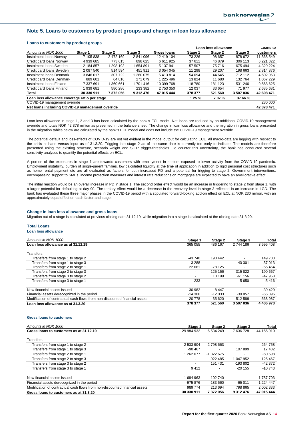### **Note 5. Loans to customers by product groups and change in loan loss allowance**

#### **Loans to customers by product groups**

|                                              |                                                  |           |           |             | Loan loss allowance |         |         | Loans to    |
|----------------------------------------------|--------------------------------------------------|-----------|-----------|-------------|---------------------|---------|---------|-------------|
| Amounts in NOK 1000                          | Stage 1                                          | Stage 2   | Stage 3   | Gross Ioans | Stage 1             | Stage 2 | Stage 3 | customers   |
| Instalment Ioans Norway                      | 7 105 838                                        | 2 472 169 | 2841096   | 12 419 104  | 73 226              | 98 657  | 878 672 | 11 368 549  |
| Credit card loans Norway                     | 4 939 685                                        | 773615    | 898 625   | 6 611 925   | 37 611              | 46 879  | 306 113 | 6 221 322   |
| Instalment Ioans Sweden                      | 2 184 857                                        | 1 298 193 | 654 891   | 5 137 941   | 57 507              | 75 716  | 675 494 | 4 329 224   |
| Credit card loans Sweden                     | 2 087 540                                        | 514 594   | 451 911   | 3 0 54 0 45 | 11 298              | 29 207  | 198 663 | 2814876     |
| Instalment Ioans Denmark                     | 3846017                                          | 307 722   | 1 260 075 | 5413814     | 54 094              | 44 645  | 712 112 | 4 602 963   |
| Credit card loans Denmark                    | 889 601                                          | 64 816    | 271 079   | 1 225 496   | 13824               | 11 680  | 132 764 | 1 067 229   |
| Instalment Ioans Finland                     | 7 337 691                                        | 360 661   | 1 701 416 | 10 399 768  | 118 780             | 181 123 | 531 240 | 9 5 68 6 25 |
| Credit card loans Finland                    | 939 681                                          | 580 286   | 233 382   | 2 753 350   | 12 0 37             | 33 654  | 71 977  | 2635681     |
| Total                                        | 30 330 911                                       | 7 372 056 | 9 312 476 | 47 015 444  | 378 377             | 521 560 | 3507036 | 42 608 471  |
| Loan loss allowance coverage ratio per stage |                                                  |           |           | 1.25%       | 7.07 %              | 37.66%  |         |             |
| COVID-19 management override                 |                                                  |           |           |             |                     | 230 000 |         |             |
|                                              | Net loans including COVID-19 management override |           |           |             |                     |         |         | 42 378 471  |

Loan loss allowance in stage 1, 2 and 3 has been calculated by the bank's ECL model. Net loans are reduced by an additional COVID-19 management override and totals NOK 42 378 million as presented in the balance sheet. The change in loan loss allowance and the migration in gross loans presented in the migration tables below are calculated by the bank's ECL model and does not include the COVID-19 management override.

The potential default and loss-effects of COVID-19 are not yet evident in the model output for calculating ECL. All macro-data are lagging with respect to the crisis at hand versus input as of 31.3.20. Trigging into stage 2 as of the same date is currently too early to indicate. The models are therefore presented using the existing structure, scenario weight and SICR trigger-thresholds. To counter this uncertainty, the bank has conducted several sensitivity analyses to quantify the potential effects on ECL.

A portion of the exposures in stage 1 are towards customers with employment in sectors exposed to lower activity from the COVID-19 pandemic. Employment instability, burden of single-parent families, low calculated liquidity at the time of application in addition to rigid personal cost structures such as home rental payment etc are all evaluated as factors for both increased PD and a potential for trigging to stage 2. Government interventions, encompassing support to SMEs, income protection measures and interest rate reductions on mortgages are expected to have an ameliorative effect.

The initial reaction would be an overall increase in PD in stage 1. The second order effect would be an increase in triggering to stage 2 from stage 1, with a larger potential for defaulting at day 90. The tertiary effect would be a decrease in the recovery level in stage 3 reflected in an increase in LGD. The bank has evaluated these three major phases in the COVID-19 period with a stipulated forward-looking add-on effect on ECL at NOK 230 million, with an approximately equal effect on each factor and stage.

#### **Change in loan loss allowance and gross loans**

Migration out of a stage is calculated at previous closing date 31.12.19, while migration into a stage is calculated at the closing date 31.3.20.

#### **Total Loans**

**Loan loss allowance**

| Amounts in NOK 1000                                                         | Stage 1                  | Stage 2    | Stage 3                  | Total         |
|-----------------------------------------------------------------------------|--------------------------|------------|--------------------------|---------------|
| Loan loss allowance as at 31.12.19                                          | 365 055                  | 486 167    | 2 744 186                | 3 595 408     |
| Transfers:                                                                  |                          |            |                          |               |
| Transfers from stage 1 to stage 2                                           | -43 740                  | 193 442    |                          | 149 703       |
| Transfers from stage 1 to stage 3                                           | $-3288$                  |            | 40 301                   | 37 013        |
| Transfers from stage 2 to stage 1                                           | 22 661                   | $-78125$   |                          | $-55464$      |
| Transfers from stage 2 to stage 3                                           | $\overline{\phantom{a}}$ | $-125.156$ | 315 822                  | 190 667       |
| Transfers from stage 3 to stage 2                                           | -                        | 13 199     | $-61156$                 | -47 958       |
| Transfers from stage 3 to stage 1                                           | 233                      |            | -5 650                   | -5416         |
| New financial assets issued                                                 | 30 982                   | 8447       | $\overline{\phantom{a}}$ | 39 4 29       |
| Financial assets derecognized in the period                                 | $-14306$                 | $-12033$   | $-39057$                 | $-65396$      |
| Modification of contractual cash flows from non-discounted financial assets | 20 778                   | 35 620     | 512 589                  | 568 987       |
| Loan loss allowance as at 31.3.20                                           | 378 377                  | 521 560    | 3 507 036                | 4 4 0 6 9 7 3 |

#### **Gross loans to customers**

| Amounts in NOK 1000                                                         | Stage 1                  | Stage 2    | Stage 3                  | Total      |
|-----------------------------------------------------------------------------|--------------------------|------------|--------------------------|------------|
| Gross loans to customers as at 31.12.19                                     | 29 984 932               | 6 534 249  | 7636728                  | 44 155 910 |
| Transfers:                                                                  |                          |            |                          |            |
| Transfers from stage 1 to stage 2                                           | $-2533904$               | 2 798 663  |                          | 264 758    |
| Transfers from stage 1 to stage 3                                           | $-90467$                 |            | 107899                   | 17 432     |
| Transfers from stage 2 to stage 1                                           | 1 262 077                | $-1322675$ | $\blacksquare$           | $-60598$   |
| Transfers from stage 2 to stage 3                                           | $\overline{\phantom{a}}$ | $-922485$  | 1 047 952                | 125 467    |
| Transfers from stage 3 to stage 2                                           | $\overline{\phantom{a}}$ | 151 431    | $-193.802$               | -42 372    |
| Transfers from stage 3 to stage 1                                           | 9412                     |            | $-20155$                 | $-10743$   |
| New financial assets issued                                                 | 1684963                  | 102 740    | $\overline{\phantom{a}}$ | 1 787 703  |
| Financial assets derecognized in the period                                 | -975 876                 | $-183560$  | $-65011$                 | $-1224447$ |
| Modification of contractual cash flows from non-discounted financial assets | 989 774                  | 213 694    | 798 865                  | 2 002 333  |
| Gross loans to customers as at 31.3.20                                      | 30 330 911               | 7 372 056  | 9 312 476                | 47 015 444 |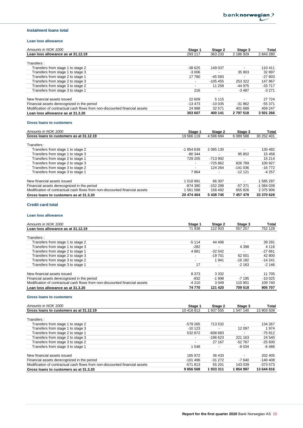### **Instalment loans total**

#### **Loan loss allowance**

| Amounts in NOK 1000                                                         | Stage 1                  | Stage 2   | Stage 3                  | Total     |
|-----------------------------------------------------------------------------|--------------------------|-----------|--------------------------|-----------|
| Loan loss allowance as at 31.12.19                                          | 293 117                  | 363 233   | 2 186 929                | 2843280   |
|                                                                             |                          |           |                          |           |
| Transfers:                                                                  |                          |           |                          |           |
| Transfers from stage 1 to stage 2                                           | $-38625$                 | 149 037   |                          | 110 411   |
| Transfers from stage 1 to stage 3                                           | $-3006$                  |           | 35 903                   | 32 897    |
| Transfers from stage 2 to stage 1                                           | 17 780                   | $-45.583$ | $\overline{\phantom{a}}$ | $-27803$  |
| Transfers from stage 2 to stage 3                                           | $\overline{\phantom{a}}$ | $-105455$ | 253 322                  | 147867    |
| Transfers from stage 3 to stage 2                                           | $\overline{\phantom{a}}$ | 11 258    | $-44975$                 | $-33717$  |
| Transfers from stage 3 to stage 1                                           | 216                      |           | $-3487$                  | $-3271$   |
| New financial assets issued                                                 | 22 609                   | 5 1 1 5   |                          | 27 7 24   |
| Financial assets derecognized in the period                                 | $-13473$                 | $-10.035$ | $-31862$                 | $-55.371$ |
| Modification of contractual cash flows from non-discounted financial assets | 24 988                   | 32 571    | 401 688                  | 459 247   |
| Loan loss allowance as at 31.3.20                                           | 303 607                  | 400 141   | 2 797 518                | 3 501 266 |

#### **Gross loans to customers**

| Amounts in NOK 1000                                                         | Stage 1                  | Stage 2                  | Stage 3                  | Total      |
|-----------------------------------------------------------------------------|--------------------------|--------------------------|--------------------------|------------|
| Gross loans to customers as at 31.12.19                                     | 19 566 119               | 4 596 694                | 6 089 588                | 30 252 401 |
| Transfers:                                                                  |                          |                          |                          |            |
| Transfers from stage 1 to stage 2                                           | -1 954 639               | 2 085 130                |                          | 130 492    |
| Transfers from stage 1 to stage 3                                           | $-80344$                 |                          | 95 802                   | 15 4 58    |
| Transfers from stage 2 to stage 1                                           | 729 205                  | -713 992                 |                          | 15 214     |
| Transfers from stage 2 to stage 3                                           | $\overline{\phantom{a}}$ | $-725.862$               | 826 789                  | 100 927    |
| Transfers from stage 3 to stage 2                                           | -                        | 124 264                  | $-141036$                | $-16772$   |
| Transfers from stage 3 to stage 1                                           | 7864                     | $\overline{\phantom{a}}$ | $-1212$                  | $-4257$    |
| New financial assets issued                                                 | 1518991                  | 66 307                   | $\overline{\phantom{a}}$ | 585 297    |
| Financial assets derecognized in the period                                 | -874 380                 | $-152288$                | $-57.371$                | $-1084039$ |
| Modification of contractual cash flows from non-discounted financial assets | 561 588                  | 158 492                  | 655 826                  | 2 375 906  |
| Gross loans to customers as at 31.3.20                                      | 20 474 404               | 5 438 745                | 7 457 479                | 33 370 628 |

### **Credit card total**

#### **Loan loss allowance**

| Amounts in NOK 1000                                                         | Stage 1                  | Stage 2   | Stage 3        | Total    |
|-----------------------------------------------------------------------------|--------------------------|-----------|----------------|----------|
| Loan loss allowance as at 31.12.19                                          | 71 938                   | 122 933   | 557 257        | 752 128  |
|                                                                             |                          |           |                |          |
| Transfers:                                                                  |                          |           |                |          |
| Transfers from stage 1 to stage 2                                           | $-5114$                  | 44 406    | $\blacksquare$ | 39 291   |
| Transfers from stage 1 to stage 3                                           | $-282$                   |           | 4 3 9 8        | 4 1 1 6  |
| Transfers from stage 2 to stage 1                                           | 4 8 8 1                  | $-32.542$ |                | $-27661$ |
| Transfers from stage 2 to stage 3                                           | $\overline{\phantom{a}}$ | $-19701$  | 62 501         | 42 800   |
| Transfers from stage 3 to stage 2                                           | $\overline{\phantom{a}}$ | 1 941     | $-16182$       | $-14241$ |
| Transfers from stage 3 to stage 1                                           | 17                       |           | $-2163$        | $-2146$  |
|                                                                             |                          |           |                |          |
| New financial assets issued                                                 | 8 3 7 3                  | 3 3 3 2   |                | 11 705   |
| Financial assets derecognized in the period                                 | $-832$                   | $-1.998$  | $-7195$        | $-10025$ |
| Modification of contractual cash flows from non-discounted financial assets | $-4210$                  | 3 0 4 9   | 110 901        | 109 740  |
| Loan loss allowance as at 31.3.20                                           | 74 770                   | 121 420   | 709 518        | 905 707  |

#### **Gross loans to customers**

| Amounts in NOK 1000                                                         | Stage 1                  | Stage 2   | Stage 3        | Total      |
|-----------------------------------------------------------------------------|--------------------------|-----------|----------------|------------|
| Gross loans to customers as at 31.12.19                                     | 10 418 813               | 937 555   | 547 140        | 13 903 509 |
| Transfers:                                                                  |                          |           |                |            |
| Transfers from stage 1 to stage 2                                           | $-579265$                | 713 532   |                | 134 267    |
| Transfers from stage 1 to stage 3                                           | $-10123$                 |           | 12 0 9 7       | 1 974      |
| Transfers from stage 2 to stage 1                                           | 532 872                  | $-608683$ | $\blacksquare$ | $-75812$   |
| Transfers from stage 2 to stage 3                                           | $\overline{\phantom{a}}$ | $-196623$ | 221 163        | 24 540     |
| Transfers from stage 3 to stage 2                                           | $\overline{\phantom{a}}$ | 27 167    | $-52767$       | $-25600$   |
| Transfers from stage 3 to stage 1                                           | 548                      |           | -8 0 34        | -6 486     |
| New financial assets issued                                                 | 165 972                  | 36 433    |                | 202 405    |
| Financial assets derecognized in the period                                 | $-101496$                | $-31272$  | -7 640         | $-140408$  |
| Modification of contractual cash flows from non-discounted financial assets | -571 813                 | 55 201    | 143 039        | $-373.573$ |
| Gross loans to customers as at 31.3.20                                      | 9856508                  | 933 311   | 854 997        | 13 644 816 |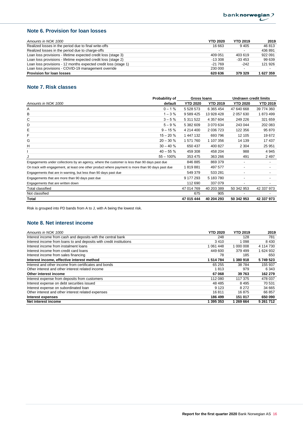## **Note 6. Provision for loan losses**

| Amounts in NOK 1000                                             | <b>YTD 2020</b> | <b>YTD 2019</b> | 2019      |
|-----------------------------------------------------------------|-----------------|-----------------|-----------|
| Realized losses in the period due to final write-offs           | 16 663          | 9405            | 46 813    |
| Realized losses in the period due to charge-offs                |                 |                 | 436 891   |
| Loan loss provisions - lifetime expected credit loss (stage 3)  | 409 051         | 403 619         | 922 091   |
| Loan loss provisions - lifetime expected credit loss (stage 2)  | $-13.308$       | $-33453$        | 99 639    |
| Loan loss provisions - 12 months expected credit loss (stage 1) | $-21769$        | $-242$          | 121 926   |
| Loan loss provisions - COVID-19 management override             | 230 000         |                 |           |
| <b>Provision for loan losses</b>                                | 620 636         | 379 329         | 1 627 359 |

## **Note 7. Risk classes**

|                                                                                                  | Probability of | Gross Ioans     |                 | <b>Undrawn credit limits</b> |                 |
|--------------------------------------------------------------------------------------------------|----------------|-----------------|-----------------|------------------------------|-----------------|
| Amounts in NOK 1000                                                                              | default        | <b>YTD 2020</b> | <b>YTD 2019</b> | <b>YTD 2020</b>              | <b>YTD 2019</b> |
| Α                                                                                                | $0 - 1%$       | 5 5 28 5 73     | 6 365 454       | 47 640 668                   | 39 774 360      |
| в                                                                                                | $1 - 3%$       | 9 5 8 9 4 2 5   | 13 928 428      | 2 057 630                    | 1873499         |
| C                                                                                                | $3 - 5%$       | 5 311 522       | 4 357 604       | 249 226                      | 321 659         |
| D                                                                                                | $5 - 9%$       | 5 382 609       | 3 070 634       | 243 044                      | 202 083         |
| Е                                                                                                | $9 - 15%$      | 4 214 400       | 2 036 723       | 122 356                      | 95 870          |
| F                                                                                                | $15 - 20%$     | 1 447 132       | 693 796         | 12 105                       | 19672           |
| G                                                                                                | $20 - 30%$     | 1 571 760       | 1 107 356       | 14 139                       | 17437           |
| н                                                                                                | $30 - 40%$     | 650 437         | 400 827         | 2 3 0 4                      | 25 951          |
|                                                                                                  | $40 - 55%$     | 459 308         | 458 204         | 988                          | 4 9 4 5         |
|                                                                                                  | $55 - 100\%$   | 353 475         | 363 266         | 491                          | 2 4 9 7         |
| Engagements under collections by an agency, where the customer is less than 90 days past due     |                | 846 885         | 869 379         | ٠                            |                 |
| On track with engagement, at least one other product where payment is more than 90 days past due |                | 1819881         | 497 577         | ٠                            |                 |
| Engagements that are in warning, but less than 90 days past due                                  |                | 549 379         | 533 281         | $\overline{\phantom{a}}$     |                 |
| Engagements that are more than 90 days past due                                                  |                | 9 177 293       | 5 183 780       | -                            |                 |
| Engagements that are written down                                                                |                | 112 690         | 337 079         | ٠                            |                 |
| Total classified                                                                                 |                | 47 014 769      | 40 203 389      | 50 342 953                   | 42 337 973      |
| Not classified                                                                                   |                | 675             | 905             |                              |                 |
| Total                                                                                            |                | 47 015 444      | 40 204 293      | 50 342 953                   | 42 337 973      |

Risk is grouped into PD bands from A to J, with A being the lowest risk.

### **Note 8. Net interest income**

| Amounts in NOK 1000                                                 | <b>YTD 2020</b> | <b>YTD 2019</b> | 2019      |
|---------------------------------------------------------------------|-----------------|-----------------|-----------|
| Interest income from cash and deposits with the central bank        | 248             | 128             | 781       |
| Interest income from loans to and deposits with credit institutions | 3410            | l 098           | 8 4 3 0   |
| Interest income from instalment loans                               | 1 061 448       | 1 000 008       | 4 114 730 |
| Interest income from credit card loans                              | 449 600         | 379 499         | 1 624 932 |
| Interest income from sales financing                                | 78              | 185             | 650       |
| Interest income, effective interest method                          | 1 514 784       | 1 380 918       | 5749523   |
| Interest and other income from certificates and bonds               | 65 255          | 38784           | 155 937   |
| Other interest and other interest related income                    | 1813            | 979             | 6 3 4 3   |
| Other interest income                                               | 67068           | 39 763          | 162 279   |
| Interest expense from deposits from customers                       | 112 080         | 117 375         | 478 037   |
| Interest expense on debt securities issued                          | 48 4 8 5        | 8495            | 70 531    |
| Interest expense on subordinated loan                               | 9 1 2 3         | 8 2 7 2         | 34 665    |
| Other interest and other interest related expenses                  | 16811           | 16875           | 66 857    |
| Interest expenses                                                   | 186 499         | 151 017         | 650 090   |
| Net interest income                                                 | 1 395 353       | 1 269 664       | 5 261 712 |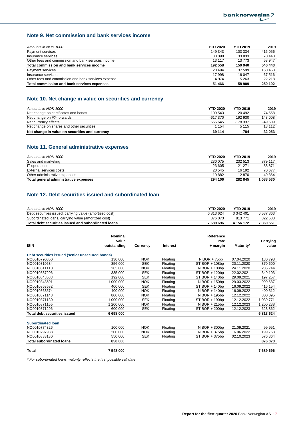### **Note 9. Net commission and bank services income**

| Amounts in NOK 1000                                 | <b>YTD 2020</b> | <b>YTD 2019</b> | 2019    |
|-----------------------------------------------------|-----------------|-----------------|---------|
| Payment services                                    | 149 343         | 103 334         | 416 056 |
| Insurance services                                  | 30 098          | 33 833          | 70 440  |
| Other fees and commission and bank services income  | 13 117          | 13773           | 53 947  |
| Total commission and bank services income           | 192 558         | 150 940         | 540 443 |
| Payment services                                    | 28 494          | 37 599          | 160 458 |
| Insurance services                                  | 17 998          | 16 047          | 67 516  |
| Other fees and commission and bank services expense | 4974            | 5 2 6 3         | 22 218  |
| Total commission and bank services expenses         | 51 466          | 58 909          | 250 192 |

## **Note 10. Net change in value on securities and currency**

| Amounts in NOK 1000                            | <b>YTD 2020</b> | <b>YTD 2019</b> | 2019      |
|------------------------------------------------|-----------------|-----------------|-----------|
| Net change on certificates and bonds           | $-109.543$      | $-20492$        | $-74.558$ |
| Net change on FX-forwards                      | $-617.370$      | 192 930         | 143 008   |
| Net currency effects                           | 656 645         | -178 337        | $-49.509$ |
| Net change on shares and other securities      | 1 1 5 4         | 5 1 1 5         | 13 112    |
| Net change in value on securities and currency | $-69114$        | -784            | 32 053    |

## **Note 11. General administrative expenses**

| Amounts in NOK 1000                   | <b>YTD 2020</b> | <b>YTD 2019</b> | 2019    |
|---------------------------------------|-----------------|-----------------|---------|
| Sales and marketing                   | 230 075         | 232 513         | 879 117 |
| IT operations                         | 23 605          | 21 271          | 88 871  |
| External services costs               | 20 545          | 16 192          | 70 677  |
| Other administrative expenses         | 19882           | 12 870          | 49 8 64 |
| Total general administrative expenses | 294 106         | 282 845         | 1088530 |

## **Note 12. Debt securities issued and subordinated loan**

| Amounts in NOK 1000                                     | <b>YTD 2020</b> | <b>YTD 2019</b> | 2019      |
|---------------------------------------------------------|-----------------|-----------------|-----------|
| Debt securities issued, carrying value (amortized cost) | 6813624         | 3 342 401       | 6 537 863 |
| Subordinated Ioans, carrying value (amortized cost)     | 876 073         | 813771          | 822 688   |
| Total debt securities issued and subordinated loans     | 7 689 696       | 4 156 172       | 7 360 551 |

|                                                 | <b>Nominal</b> |            |                 | Reference       |            |           |
|-------------------------------------------------|----------------|------------|-----------------|-----------------|------------|-----------|
|                                                 | value          |            |                 | rate            |            | Carrying  |
| <b>ISIN</b>                                     | outstanding    | Currency   | <b>Interest</b> | + margin        | Maturity*  | value     |
| Debt securities issued (senior unsecured bonds) |                |            |                 |                 |            |           |
| NO0010790850                                    | 130 000        | <b>NOK</b> | Floating        | $NIBOR + 75bp$  | 07.04.2020 | 130 798   |
| NO0010810534                                    | 356 000        | <b>SEK</b> | Floating        | STIBOR + 108bp  | 20.11.2020 | 370 600   |
| NO0010811110                                    | 285 000        | <b>NOK</b> | Floating        | NIBOR + 108bp   | 24.11.2020 | 285 744   |
| NO0010837206                                    | 335 000        | <b>SEK</b> | Floating        | STIBOR + 120bp  | 22.02.2021 | 349 103   |
| NO0010848583                                    | 192 000        | <b>SEK</b> | Floating        | STIBOR + 140bp  | 29.09.2021 | 197 257   |
| NO0010848591                                    | 1 000 000      | <b>NOK</b> | Floating        | $NIBOR + 150bp$ | 29.03.2022 | 999 687   |
| NO0010863582                                    | 400 000        | <b>SEK</b> | Floating        | STIBOR + 140bp  | 16.09.2022 | 416 154   |
| NO0010863574                                    | 400 000        | <b>NOK</b> | Floating        | $NIBOR + 140bp$ | 16.09.2022 | 400 312   |
| NO0010871148                                    | 800 000        | <b>NOK</b> | Floating        | NIBOR + 195bp   | 12.12.2022 | 800 095   |
| NO0010871130                                    | 1 000 000      | <b>SEK</b> | Floating        | STIBOR + 190bp  | 12.12.2022 | 1 039 771 |
| NO0010871155                                    | 1 200 000      | <b>NOK</b> | Floating        | $NIBOR + 215bp$ | 12.12.2023 | 1 200 238 |
| NO0010871296                                    | 600 000        | <b>SEK</b> | Floating        | STIBOR + 200bp  | 12.12.2023 | 623 862   |
| <b>Total debt securities issued</b>             | 6 698 000      |            |                 |                 |            | 6813624   |
| <b>Subordinated loan</b>                        |                |            |                 |                 |            |           |
| NO0010774326                                    | 100 000        | <b>NOK</b> | Floating        | $NIBOR + 300bp$ | 21.09.2021 | 99 951    |
| NO0010797988                                    | 200 000        | <b>NOK</b> | Floating        | $NIBOR + 375bp$ | 16.06.2022 | 199 758   |
| NO0010833130                                    | 550 000        | <b>SEK</b> | Floating        | STIBOR + 375bp  | 02.10.2023 | 576 364   |
| <b>Total subordinated loans</b>                 | 850 000        |            |                 |                 |            | 876 073   |
| Total                                           | 7 548 000      |            |                 |                 |            | 7689696   |

*\* For subordinated loans maturity reflects the first possible call date*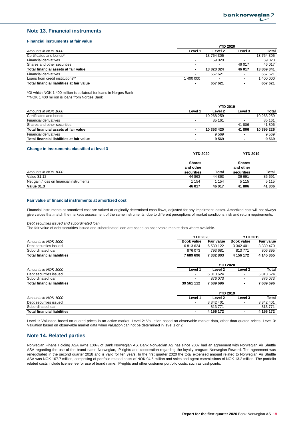### **Note 13. Financial instruments**

### **Financial instruments at fair value**

|                                           | <b>YTD 2020</b>          |                          |                          |            |  |
|-------------------------------------------|--------------------------|--------------------------|--------------------------|------------|--|
| Amounts in NOK 1000                       | Level 1                  | Level 2                  | Level 3                  | Total      |  |
| Certificates and bonds*                   | $\overline{\phantom{a}}$ | 13 764 305               |                          | 13 764 305 |  |
| <b>Financial derivatives</b>              | $\overline{\phantom{a}}$ | 59 0 20                  |                          | 59 0 20    |  |
| Shares and other securities               | $\overline{\phantom{a}}$ | $\overline{\phantom{a}}$ | 46 017                   | 46 017     |  |
| Total financial assets at fair value      | ۰                        | 13823324                 | 46 017                   | 13 869 341 |  |
| <b>Financial derivatives</b>              | $\overline{\phantom{a}}$ | 657 621                  |                          | 657 621    |  |
| Loans from credit institutions**          | 1 400 000                |                          | $\overline{\phantom{a}}$ | 400 000    |  |
| Total financial liabilities at fair value | ۰                        | 657 621                  | $\overline{\phantom{a}}$ | 657 621    |  |

\*Of which NOK 1 400 million is collateral for loans in Norges Bank

\*\*NOK 1 400 million is loans from Norges Bank

|                                           | <b>YTD 2019</b>          |                          |                          |            |
|-------------------------------------------|--------------------------|--------------------------|--------------------------|------------|
| Amounts in NOK 1000                       | Level 1                  | Level 2                  | Level 3                  | Total      |
| Certificates and bonds                    | $\overline{\phantom{a}}$ | 10 268 259               |                          | 10 268 259 |
| <b>Financial derivatives</b>              | $\overline{\phantom{a}}$ | 85 161                   |                          | 85 161     |
| Shares and other securities               | $\overline{\phantom{a}}$ | $\overline{\phantom{a}}$ | 41 806                   | 41 806     |
| Total financial assets at fair value      | ۰                        | 10 353 420               | 41 806                   | 10 395 226 |
| <b>Financial derivatives</b>              | $\overline{\phantom{a}}$ | 9569                     |                          | 9569       |
| Total financial liabilities at fair value | ٠                        | 9569                     | $\overline{\phantom{a}}$ | 9 5 6 9    |

#### **Change in instruments classified at level 3**

|                                          | <b>YTD 2020</b>            |         | <b>YTD 2019</b>            |         |
|------------------------------------------|----------------------------|---------|----------------------------|---------|
| Amounts in NOK 1000                      | <b>Shares</b><br>and other | Total   | <b>Shares</b><br>and other | Total   |
|                                          | securities                 |         | securities                 |         |
| Value 31.12                              | 44 863                     | 44 863  | 36 691                     | 36 691  |
| Net gain / loss on financial instruments | 1 154                      | 1 1 5 4 | 5 1 1 5                    | 5 1 1 5 |
| <b>Value 31.3</b>                        | 46 017                     | 46 017  | 41 806                     | 41 806  |

#### **Fair value of financial instruments at amortized cost**

Financial instruments at amortized cost are valued at originally determined cash flows, adjusted for any impairment losses. Amortized cost will not always give values that match the market's assessment of the same instruments, due to different perceptions of market conditions, risk and return requirements.

*Debt securities issued and subordinated loan*

The fair value of debt securities issued and subordinated loan are based on observable market data where available.

|                                    | <b>YTD 2020</b> |               | <b>YTD 2019</b> |            |
|------------------------------------|-----------------|---------------|-----------------|------------|
| Amounts in NOK 1000                | Book value      | Fair value    | Book value      | Fair value |
| Debt securities issued             | 6813624         | 6 539 122     | 3 342 401       | 3 339 470  |
| Subordinated loan                  | 876 073         | 793 681       | 813771          | 806 395    |
| <b>Total financial liabilities</b> | 7 689 696       | 7332803       | 4 156 172       | 4 145 865  |
|                                    |                 | $VTPR$ $0000$ |                 |            |

|                                    |                          | TIU ZUZU  |         |           |  |
|------------------------------------|--------------------------|-----------|---------|-----------|--|
| Amounts in NOK 1000                | Level                    | Level 2   | Level 3 | Total     |  |
| Debt securities issued             | $\overline{\phantom{a}}$ | 6813624   |         | 6813624   |  |
| Subordinated loan                  |                          | 876 073   |         | 876 073   |  |
| <b>Total financial liabilities</b> | 39 561 112               | 7 689 696 |         | 7 689 696 |  |
|                                    |                          |           |         |           |  |

|                                    |                          | <b>YTD 2019</b> |         |           |  |
|------------------------------------|--------------------------|-----------------|---------|-----------|--|
| Amounts in NOK 1000                | Level <sup>.</sup>       | Level 2         | Level 3 | Total     |  |
| Debt securities issued             | $\overline{\phantom{a}}$ | 3 342 401       |         | 3 342 401 |  |
| Subordinated Ioan                  | $\overline{\phantom{a}}$ | 813771          |         | 813771    |  |
| <b>Total financial liabilities</b> | $\overline{\phantom{a}}$ | 4 156 172       |         | 4 156 172 |  |

Level 1: Valuation based on quoted prices in an active market. Level 2: Valuation based on observable market data, other than quoted prices. Level 3: Valuation based on observable market data when valuation can not be determined in level 1 or 2.

### **Note 14. Related parties**

Norwegian Finans Holding ASA owns 100% of Bank Norwegian AS. Bank Norwegian AS has since 2007 had an agreement with Norwegian Air Shuttle ASA regarding the use of the brand name Norwegian, IP-rights and cooperation regarding the loyalty program Norwegian Reward. The agreement was renegotiated in the second quarter 2018 and is valid for ten years. In the first quarter 2020 the total expensed amount related to Norwegian Air Shuttle ASA was NOK 107.7 million, comprising of portfolio related costs of NOK 94.5 million and sales and agent commissions of NOK 13.2 million. The portfolio related costs include license fee for use of brand name, IP-rights and other customer portfolio costs, such as cashpoints.